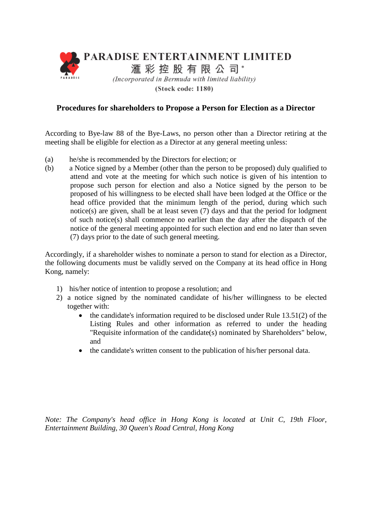

(Stock code: 1180)

## **Procedures for shareholders to Propose a Person for Election as a Director**

According to Bye-law 88 of the Bye-Laws, no person other than a Director retiring at the meeting shall be eligible for election as a Director at any general meeting unless:

- (a) he/she is recommended by the Directors for election; or
- (b) a Notice signed by a Member (other than the person to be proposed) duly qualified to attend and vote at the meeting for which such notice is given of his intention to propose such person for election and also a Notice signed by the person to be proposed of his willingness to be elected shall have been lodged at the Office or the head office provided that the minimum length of the period, during which such notice(s) are given, shall be at least seven (7) days and that the period for lodgment of such notice(s) shall commence no earlier than the day after the dispatch of the notice of the general meeting appointed for such election and end no later than seven (7) days prior to the date of such general meeting.

Accordingly, if a shareholder wishes to nominate a person to stand for election as a Director, the following documents must be validly served on the Company at its head office in Hong Kong, namely:

- 1) his/her notice of intention to propose a resolution; and
- 2) a notice signed by the nominated candidate of his/her willingness to be elected together with:
	- the candidate's information required to be disclosed under Rule 13.51(2) of the Listing Rules and other information as referred to under the heading "Requisite information of the candidate(s) nominated by Shareholders" below, and
	- the candidate's written consent to the publication of his/her personal data.

*Note: The Company's head office in Hong Kong is located at Unit C, 19th Floor, Entertainment Building, 30 Queen's Road Central, Hong Kong*